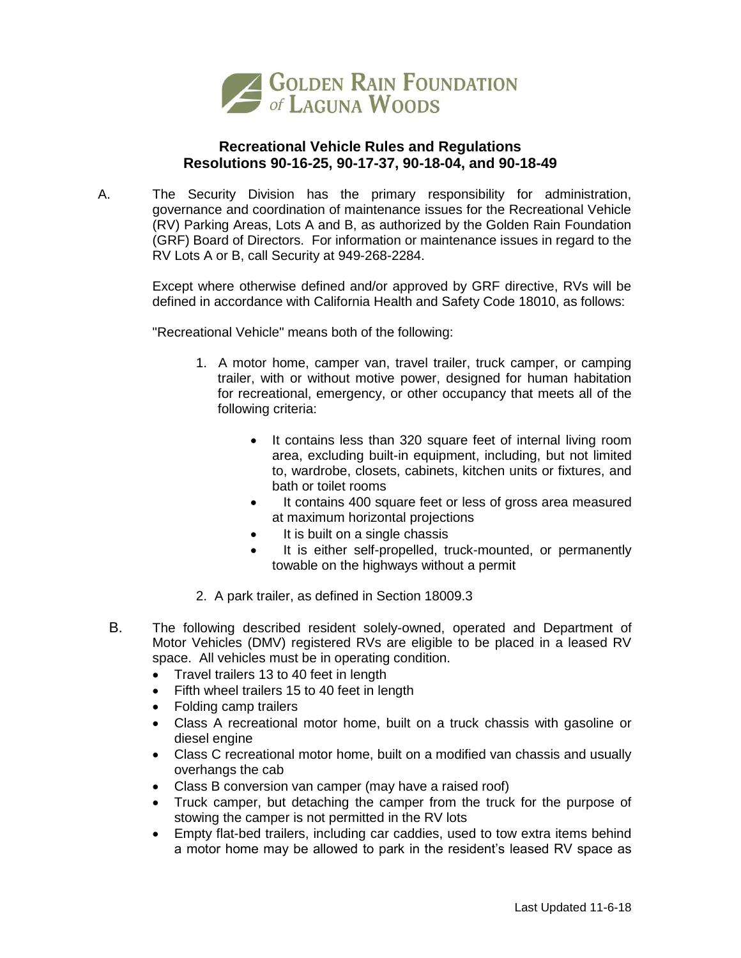

## **Recreational Vehicle Rules and Regulations Resolutions 90-16-25, 90-17-37, 90-18-04, and 90-18-49**

A. The Security Division has the primary responsibility for administration, governance and coordination of maintenance issues for the Recreational Vehicle (RV) Parking Areas, Lots A and B, as authorized by the Golden Rain Foundation (GRF) Board of Directors. For information or maintenance issues in regard to the RV Lots A or B, call Security at 949-268-2284.

> Except where otherwise defined and/or approved by GRF directive, RVs will be defined in accordance with California Health and Safety Code 18010, as follows:

"Recreational Vehicle" means both of the following:

- 1. A motor home, camper van, travel trailer, truck camper, or camping trailer, with or without motive power, designed for human habitation for recreational, emergency, or other occupancy that meets all of the following criteria:
	- It contains less than 320 square feet of internal living room area, excluding built-in equipment, including, but not limited to, wardrobe, closets, cabinets, kitchen units or fixtures, and bath or toilet rooms
	- It contains 400 square feet or less of gross area measured at maximum horizontal projections
	- It is built on a single chassis
	- It is either self-propelled, truck-mounted, or permanently towable on the highways without a permit
- 2. A park trailer, as defined in Section 18009.3
- B. The following described resident solely-owned, operated and Department of Motor Vehicles (DMV) registered RVs are eligible to be placed in a leased RV space. All vehicles must be in operating condition.
	- Travel trailers 13 to 40 feet in length
	- Fifth wheel trailers 15 to 40 feet in length
	- Folding camp trailers
	- Class A recreational motor home, built on a truck chassis with gasoline or diesel engine
	- Class C recreational motor home, built on a modified van chassis and usually overhangs the cab
	- Class B conversion van camper (may have a raised roof)
	- Truck camper, but detaching the camper from the truck for the purpose of stowing the camper is not permitted in the RV lots
	- Empty flat-bed trailers, including car caddies, used to tow extra items behind a motor home may be allowed to park in the resident's leased RV space as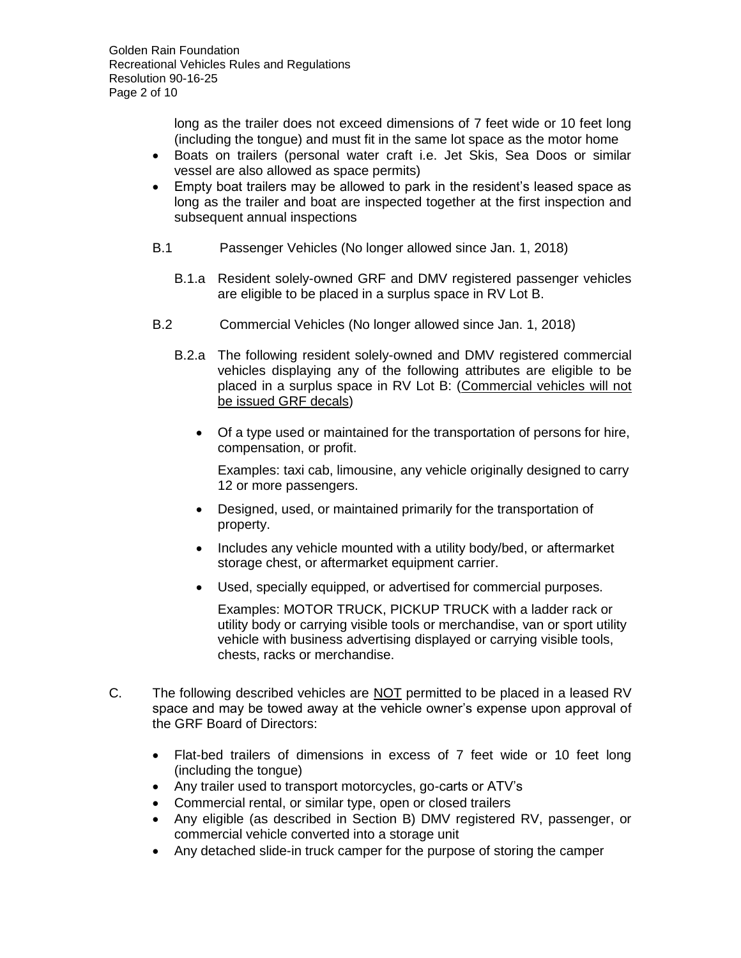long as the trailer does not exceed dimensions of 7 feet wide or 10 feet long (including the tongue) and must fit in the same lot space as the motor home

- Boats on trailers (personal water craft i.e. Jet Skis, Sea Doos or similar vessel are also allowed as space permits)
- Empty boat trailers may be allowed to park in the resident's leased space as long as the trailer and boat are inspected together at the first inspection and subsequent annual inspections
- B.1 Passenger Vehicles (No longer allowed since Jan. 1, 2018)
	- B.1.a Resident solely-owned GRF and DMV registered passenger vehicles are eligible to be placed in a surplus space in RV Lot B.
- B.2 Commercial Vehicles (No longer allowed since Jan. 1, 2018)
	- B.2.a The following resident solely-owned and DMV registered commercial vehicles displaying any of the following attributes are eligible to be placed in a surplus space in RV Lot B: (Commercial vehicles will not be issued GRF decals)
		- Of a type used or maintained for the transportation of persons for hire, compensation, or profit.

Examples: taxi cab, limousine, any vehicle originally designed to carry 12 or more passengers.

- Designed, used, or maintained primarily for the transportation of property.
- Includes any vehicle mounted with a utility body/bed, or aftermarket storage chest, or aftermarket equipment carrier.
- Used, specially equipped, or advertised for commercial purposes.

Examples: MOTOR TRUCK, PICKUP TRUCK with a ladder rack or utility body or carrying visible tools or merchandise, van or sport utility vehicle with business advertising displayed or carrying visible tools, chests, racks or merchandise.

- C. The following described vehicles are NOT permitted to be placed in a leased RV space and may be towed away at the vehicle owner's expense upon approval of the GRF Board of Directors:
	- Flat-bed trailers of dimensions in excess of 7 feet wide or 10 feet long (including the tongue)
	- Any trailer used to transport motorcycles, go-carts or ATV's
	- Commercial rental, or similar type, open or closed trailers
	- Any eligible (as described in Section B) DMV registered RV, passenger, or commercial vehicle converted into a storage unit
	- Any detached slide-in truck camper for the purpose of storing the camper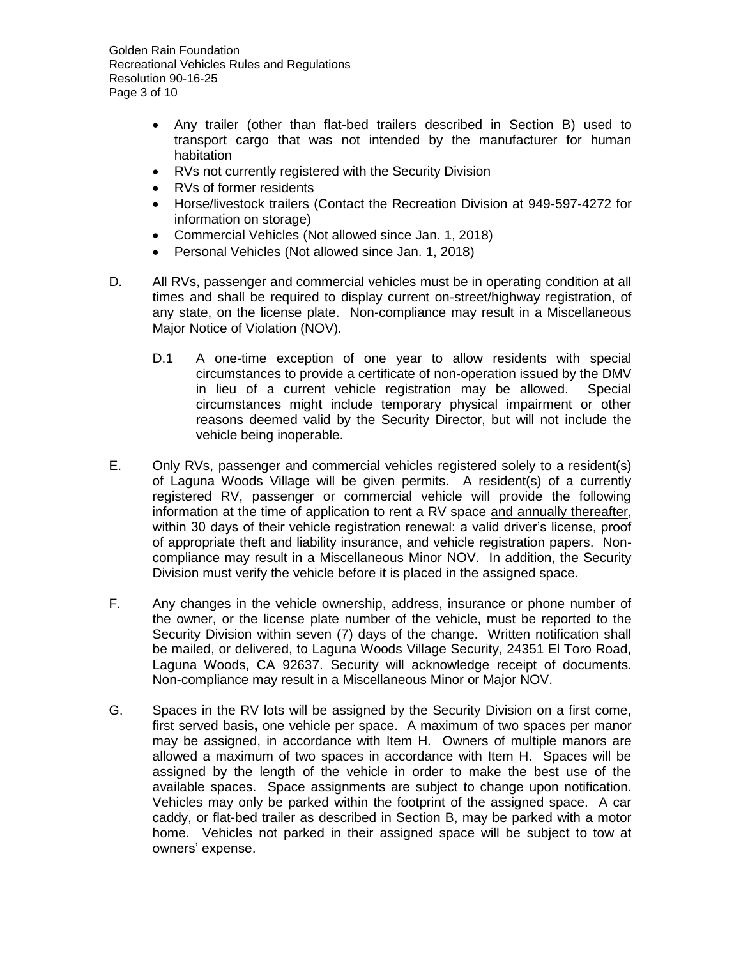Golden Rain Foundation Recreational Vehicles Rules and Regulations Resolution 90-16-25 Page 3 of 10

- Any trailer (other than flat-bed trailers described in Section B) used to transport cargo that was not intended by the manufacturer for human habitation
- RVs not currently registered with the Security Division
- RVs of former residents
- Horse/livestock trailers (Contact the Recreation Division at 949-597-4272 for information on storage)
- Commercial Vehicles (Not allowed since Jan. 1, 2018)
- Personal Vehicles (Not allowed since Jan. 1, 2018)
- D. All RVs, passenger and commercial vehicles must be in operating condition at all times and shall be required to display current on-street/highway registration, of any state, on the license plate. Non-compliance may result in a Miscellaneous Major Notice of Violation (NOV).
	- D.1 A one-time exception of one year to allow residents with special circumstances to provide a certificate of non-operation issued by the DMV in lieu of a current vehicle registration may be allowed. Special circumstances might include temporary physical impairment or other reasons deemed valid by the Security Director, but will not include the vehicle being inoperable.
- E. Only RVs, passenger and commercial vehicles registered solely to a resident(s) of Laguna Woods Village will be given permits. A resident(s) of a currently registered RV, passenger or commercial vehicle will provide the following information at the time of application to rent a RV space and annually thereafter, within 30 days of their vehicle registration renewal: a valid driver's license, proof of appropriate theft and liability insurance, and vehicle registration papers. Noncompliance may result in a Miscellaneous Minor NOV. In addition, the Security Division must verify the vehicle before it is placed in the assigned space.
- F. Any changes in the vehicle ownership, address, insurance or phone number of the owner, or the license plate number of the vehicle, must be reported to the Security Division within seven (7) days of the change. Written notification shall be mailed, or delivered, to Laguna Woods Village Security, 24351 El Toro Road, Laguna Woods, CA 92637. Security will acknowledge receipt of documents. Non-compliance may result in a Miscellaneous Minor or Major NOV.
- G. Spaces in the RV lots will be assigned by the Security Division on a first come, first served basis**,** one vehicle per space. A maximum of two spaces per manor may be assigned, in accordance with Item H. Owners of multiple manors are allowed a maximum of two spaces in accordance with Item H. Spaces will be assigned by the length of the vehicle in order to make the best use of the available spaces. Space assignments are subject to change upon notification. Vehicles may only be parked within the footprint of the assigned space. A car caddy, or flat-bed trailer as described in Section B, may be parked with a motor home. Vehicles not parked in their assigned space will be subject to tow at owners' expense.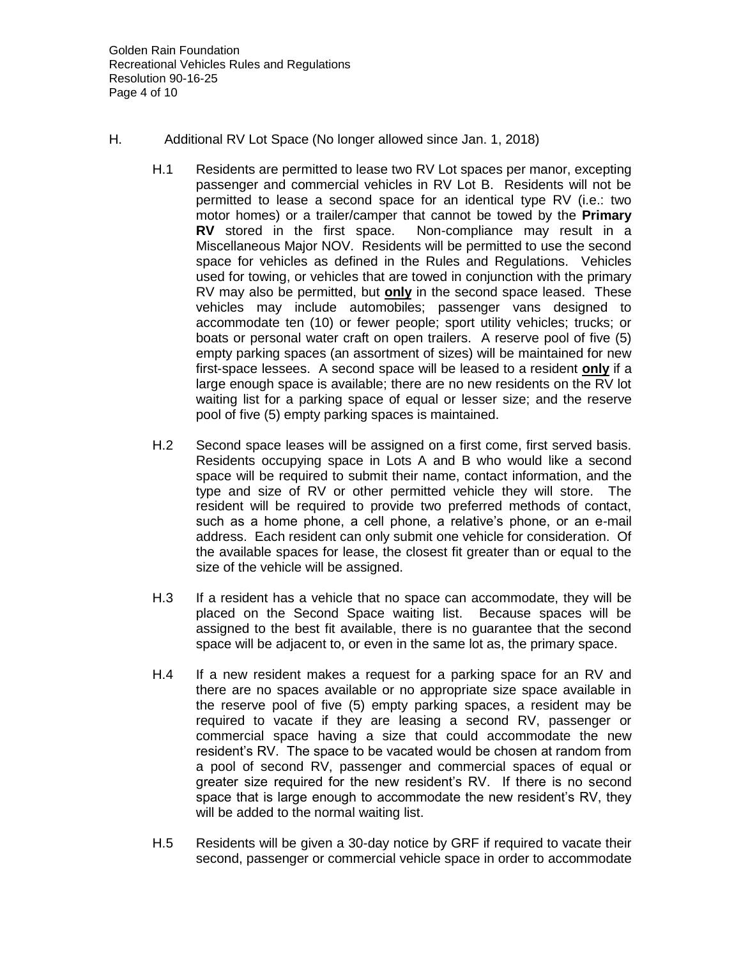- H. Additional RV Lot Space (No longer allowed since Jan. 1, 2018)
	- H.1 Residents are permitted to lease two RV Lot spaces per manor, excepting passenger and commercial vehicles in RV Lot B. Residents will not be permitted to lease a second space for an identical type RV (i.e.: two motor homes) or a trailer/camper that cannot be towed by the **Primary RV** stored in the first space. Non-compliance may result in a Miscellaneous Major NOV. Residents will be permitted to use the second space for vehicles as defined in the Rules and Regulations. Vehicles used for towing, or vehicles that are towed in conjunction with the primary RV may also be permitted, but **only** in the second space leased. These vehicles may include automobiles; passenger vans designed to accommodate ten (10) or fewer people; sport utility vehicles; trucks; or boats or personal water craft on open trailers. A reserve pool of five (5) empty parking spaces (an assortment of sizes) will be maintained for new first-space lessees. A second space will be leased to a resident **only** if a large enough space is available; there are no new residents on the RV lot waiting list for a parking space of equal or lesser size; and the reserve pool of five (5) empty parking spaces is maintained.
	- H.2 Second space leases will be assigned on a first come, first served basis. Residents occupying space in Lots A and B who would like a second space will be required to submit their name, contact information, and the type and size of RV or other permitted vehicle they will store. The resident will be required to provide two preferred methods of contact, such as a home phone, a cell phone, a relative's phone, or an e-mail address. Each resident can only submit one vehicle for consideration. Of the available spaces for lease, the closest fit greater than or equal to the size of the vehicle will be assigned.
	- H.3 If a resident has a vehicle that no space can accommodate, they will be placed on the Second Space waiting list. Because spaces will be assigned to the best fit available, there is no guarantee that the second space will be adjacent to, or even in the same lot as, the primary space.
	- H.4 If a new resident makes a request for a parking space for an RV and there are no spaces available or no appropriate size space available in the reserve pool of five (5) empty parking spaces, a resident may be required to vacate if they are leasing a second RV, passenger or commercial space having a size that could accommodate the new resident's RV. The space to be vacated would be chosen at random from a pool of second RV, passenger and commercial spaces of equal or greater size required for the new resident's RV. If there is no second space that is large enough to accommodate the new resident's RV, they will be added to the normal waiting list.
	- H.5 Residents will be given a 30-day notice by GRF if required to vacate their second, passenger or commercial vehicle space in order to accommodate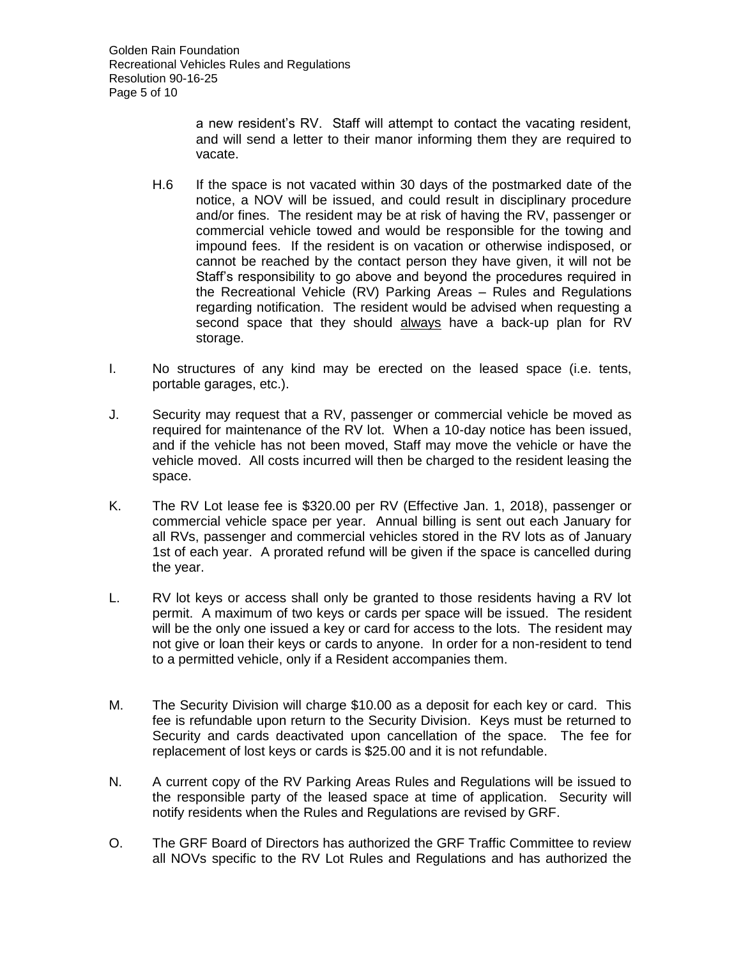Golden Rain Foundation Recreational Vehicles Rules and Regulations Resolution 90-16-25 Page 5 of 10

> a new resident's RV. Staff will attempt to contact the vacating resident, and will send a letter to their manor informing them they are required to vacate.

- H.6 If the space is not vacated within 30 days of the postmarked date of the notice, a NOV will be issued, and could result in disciplinary procedure and/or fines. The resident may be at risk of having the RV, passenger or commercial vehicle towed and would be responsible for the towing and impound fees. If the resident is on vacation or otherwise indisposed, or cannot be reached by the contact person they have given, it will not be Staff's responsibility to go above and beyond the procedures required in the Recreational Vehicle (RV) Parking Areas – Rules and Regulations regarding notification. The resident would be advised when requesting a second space that they should always have a back-up plan for RV storage.
- I. No structures of any kind may be erected on the leased space (i.e. tents, portable garages, etc.).
- J. Security may request that a RV, passenger or commercial vehicle be moved as required for maintenance of the RV lot. When a 10-day notice has been issued, and if the vehicle has not been moved, Staff may move the vehicle or have the vehicle moved. All costs incurred will then be charged to the resident leasing the space.
- K. The RV Lot lease fee is \$320.00 per RV (Effective Jan. 1, 2018), passenger or commercial vehicle space per year. Annual billing is sent out each January for all RVs, passenger and commercial vehicles stored in the RV lots as of January 1st of each year. A prorated refund will be given if the space is cancelled during the year.
- L. RV lot keys or access shall only be granted to those residents having a RV lot permit. A maximum of two keys or cards per space will be issued. The resident will be the only one issued a key or card for access to the lots. The resident may not give or loan their keys or cards to anyone. In order for a non-resident to tend to a permitted vehicle, only if a Resident accompanies them.
- M. The Security Division will charge \$10.00 as a deposit for each key or card. This fee is refundable upon return to the Security Division. Keys must be returned to Security and cards deactivated upon cancellation of the space. The fee for replacement of lost keys or cards is \$25.00 and it is not refundable.
- N. A current copy of the RV Parking Areas Rules and Regulations will be issued to the responsible party of the leased space at time of application. Security will notify residents when the Rules and Regulations are revised by GRF.
- O. The GRF Board of Directors has authorized the GRF Traffic Committee to review all NOVs specific to the RV Lot Rules and Regulations and has authorized the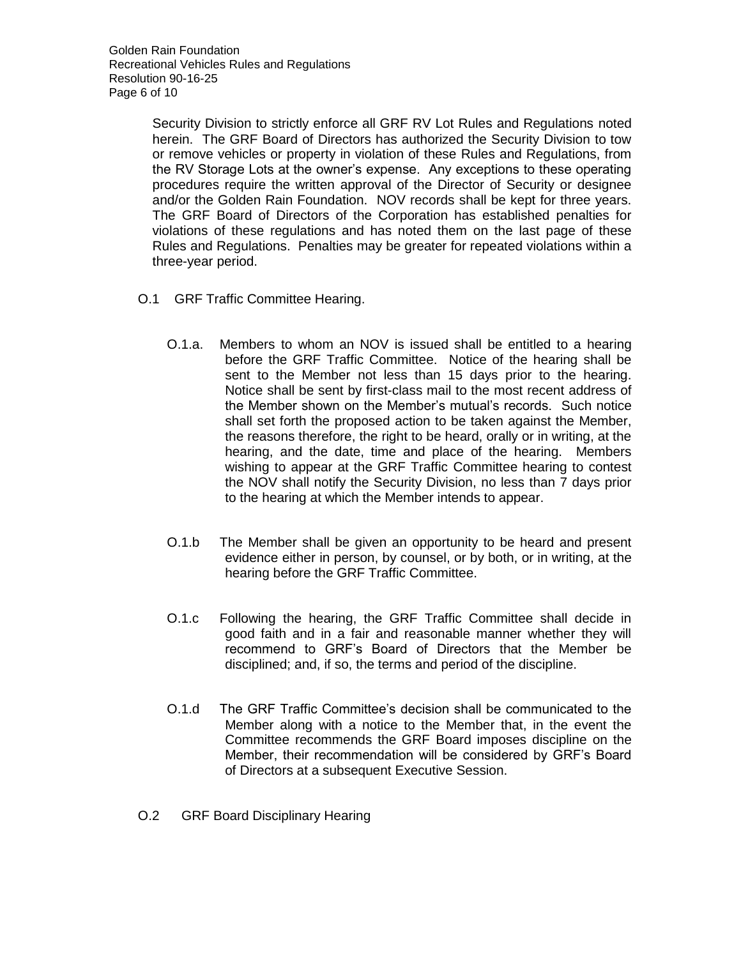Security Division to strictly enforce all GRF RV Lot Rules and Regulations noted herein. The GRF Board of Directors has authorized the Security Division to tow or remove vehicles or property in violation of these Rules and Regulations, from the RV Storage Lots at the owner's expense. Any exceptions to these operating procedures require the written approval of the Director of Security or designee and/or the Golden Rain Foundation. NOV records shall be kept for three years. The GRF Board of Directors of the Corporation has established penalties for violations of these regulations and has noted them on the last page of these Rules and Regulations. Penalties may be greater for repeated violations within a three-year period.

- O.1 GRF Traffic Committee Hearing.
	- O.1.a. Members to whom an NOV is issued shall be entitled to a hearing before the GRF Traffic Committee. Notice of the hearing shall be sent to the Member not less than 15 days prior to the hearing. Notice shall be sent by first-class mail to the most recent address of the Member shown on the Member's mutual's records. Such notice shall set forth the proposed action to be taken against the Member, the reasons therefore, the right to be heard, orally or in writing, at the hearing, and the date, time and place of the hearing. Members wishing to appear at the GRF Traffic Committee hearing to contest the NOV shall notify the Security Division, no less than 7 days prior to the hearing at which the Member intends to appear.
	- O.1.b The Member shall be given an opportunity to be heard and present evidence either in person, by counsel, or by both, or in writing, at the hearing before the GRF Traffic Committee.
	- O.1.c Following the hearing, the GRF Traffic Committee shall decide in good faith and in a fair and reasonable manner whether they will recommend to GRF's Board of Directors that the Member be disciplined; and, if so, the terms and period of the discipline.
	- O.1.d The GRF Traffic Committee's decision shall be communicated to the Member along with a notice to the Member that, in the event the Committee recommends the GRF Board imposes discipline on the Member, their recommendation will be considered by GRF's Board of Directors at a subsequent Executive Session.
- O.2 GRF Board Disciplinary Hearing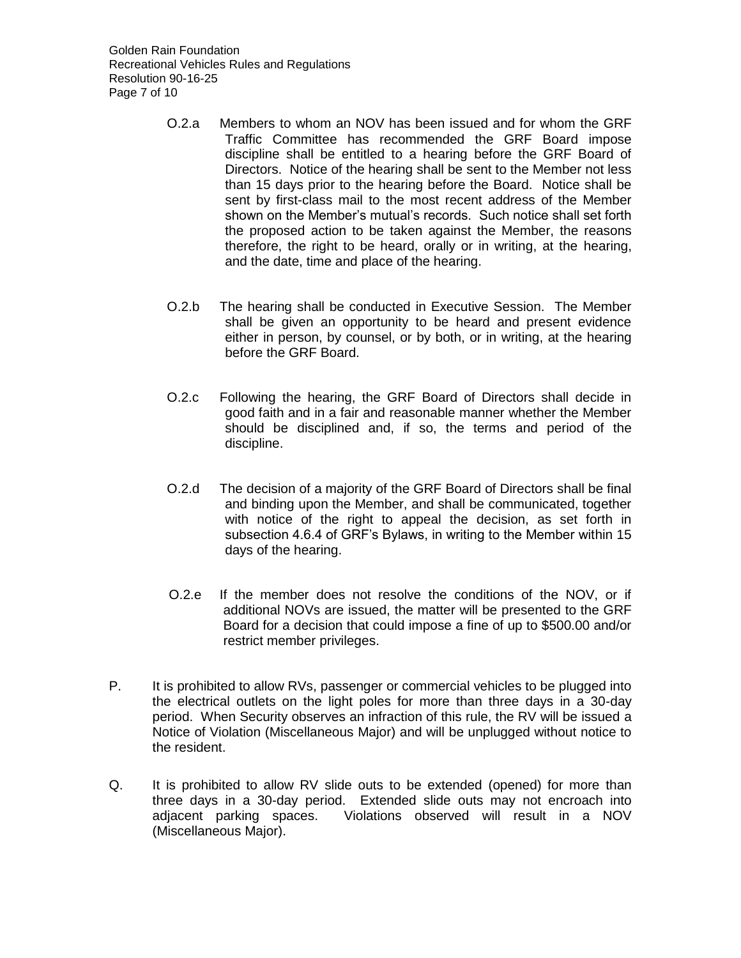Golden Rain Foundation Recreational Vehicles Rules and Regulations Resolution 90-16-25 Page 7 of 10

- O.2.a Members to whom an NOV has been issued and for whom the GRF Traffic Committee has recommended the GRF Board impose discipline shall be entitled to a hearing before the GRF Board of Directors. Notice of the hearing shall be sent to the Member not less than 15 days prior to the hearing before the Board. Notice shall be sent by first-class mail to the most recent address of the Member shown on the Member's mutual's records. Such notice shall set forth the proposed action to be taken against the Member, the reasons therefore, the right to be heard, orally or in writing, at the hearing, and the date, time and place of the hearing.
- O.2.b The hearing shall be conducted in Executive Session. The Member shall be given an opportunity to be heard and present evidence either in person, by counsel, or by both, or in writing, at the hearing before the GRF Board.
- O.2.c Following the hearing, the GRF Board of Directors shall decide in good faith and in a fair and reasonable manner whether the Member should be disciplined and, if so, the terms and period of the discipline.
- O.2.d The decision of a majority of the GRF Board of Directors shall be final and binding upon the Member, and shall be communicated, together with notice of the right to appeal the decision, as set forth in subsection 4.6.4 of GRF's Bylaws, in writing to the Member within 15 days of the hearing.
- O.2.e If the member does not resolve the conditions of the NOV, or if additional NOVs are issued, the matter will be presented to the GRF Board for a decision that could impose a fine of up to \$500.00 and/or restrict member privileges.
- P. It is prohibited to allow RVs, passenger or commercial vehicles to be plugged into the electrical outlets on the light poles for more than three days in a 30-day period. When Security observes an infraction of this rule, the RV will be issued a Notice of Violation (Miscellaneous Major) and will be unplugged without notice to the resident.
- Q. It is prohibited to allow RV slide outs to be extended (opened) for more than three days in a 30-day period. Extended slide outs may not encroach into adjacent parking spaces. Violations observed will result in a NOV (Miscellaneous Major).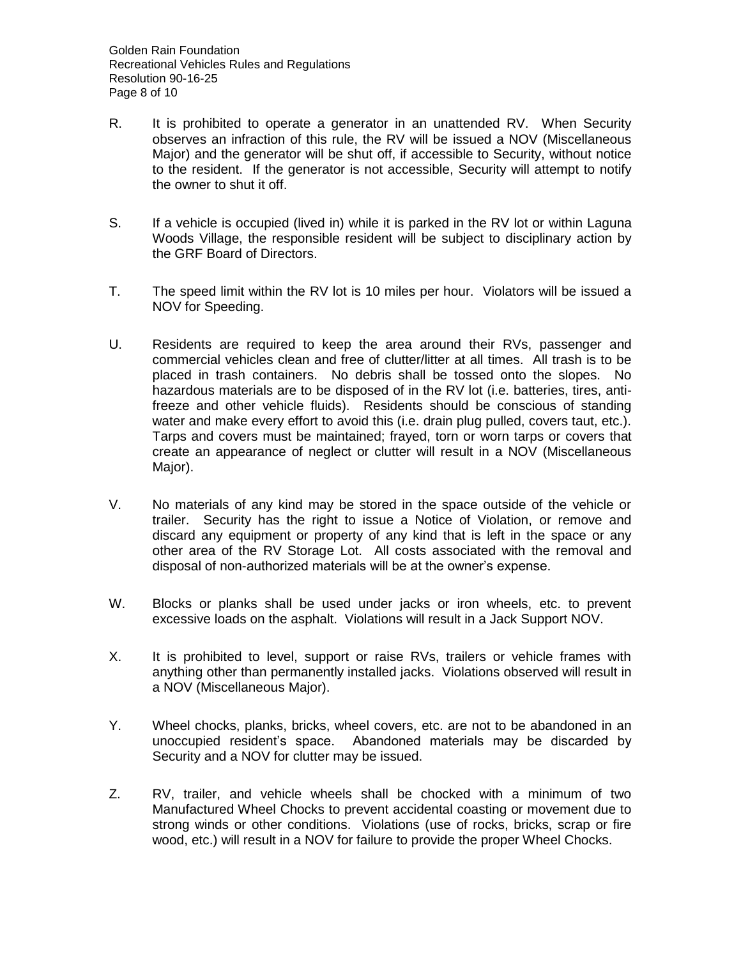- R. It is prohibited to operate a generator in an unattended RV. When Security observes an infraction of this rule, the RV will be issued a NOV (Miscellaneous Major) and the generator will be shut off, if accessible to Security, without notice to the resident. If the generator is not accessible, Security will attempt to notify the owner to shut it off.
- S. If a vehicle is occupied (lived in) while it is parked in the RV lot or within Laguna Woods Village, the responsible resident will be subject to disciplinary action by the GRF Board of Directors.
- T. The speed limit within the RV lot is 10 miles per hour. Violators will be issued a NOV for Speeding.
- U. Residents are required to keep the area around their RVs, passenger and commercial vehicles clean and free of clutter/litter at all times. All trash is to be placed in trash containers. No debris shall be tossed onto the slopes. No hazardous materials are to be disposed of in the RV lot (i.e. batteries, tires, antifreeze and other vehicle fluids). Residents should be conscious of standing water and make every effort to avoid this (i.e. drain plug pulled, covers taut, etc.). Tarps and covers must be maintained; frayed, torn or worn tarps or covers that create an appearance of neglect or clutter will result in a NOV (Miscellaneous Major).
- V. No materials of any kind may be stored in the space outside of the vehicle or trailer. Security has the right to issue a Notice of Violation, or remove and discard any equipment or property of any kind that is left in the space or any other area of the RV Storage Lot. All costs associated with the removal and disposal of non-authorized materials will be at the owner's expense.
- W. Blocks or planks shall be used under jacks or iron wheels, etc. to prevent excessive loads on the asphalt. Violations will result in a Jack Support NOV.
- X. It is prohibited to level, support or raise RVs, trailers or vehicle frames with anything other than permanently installed jacks. Violations observed will result in a NOV (Miscellaneous Major).
- Y. Wheel chocks, planks, bricks, wheel covers, etc. are not to be abandoned in an unoccupied resident's space. Abandoned materials may be discarded by Security and a NOV for clutter may be issued.
- Z. RV, trailer, and vehicle wheels shall be chocked with a minimum of two Manufactured Wheel Chocks to prevent accidental coasting or movement due to strong winds or other conditions. Violations (use of rocks, bricks, scrap or fire wood, etc.) will result in a NOV for failure to provide the proper Wheel Chocks.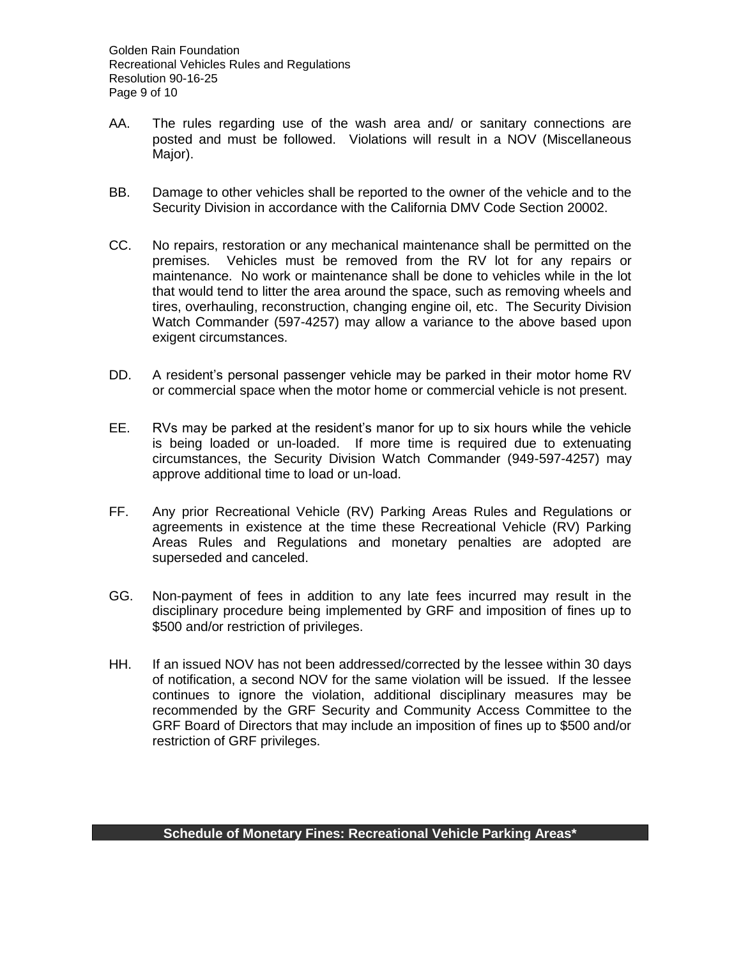- AA. The rules regarding use of the wash area and/ or sanitary connections are posted and must be followed. Violations will result in a NOV (Miscellaneous Major).
- BB. Damage to other vehicles shall be reported to the owner of the vehicle and to the Security Division in accordance with the California DMV Code Section 20002.
- CC. No repairs, restoration or any mechanical maintenance shall be permitted on the premises. Vehicles must be removed from the RV lot for any repairs or maintenance. No work or maintenance shall be done to vehicles while in the lot that would tend to litter the area around the space, such as removing wheels and tires, overhauling, reconstruction, changing engine oil, etc. The Security Division Watch Commander (597-4257) may allow a variance to the above based upon exigent circumstances.
- DD. A resident's personal passenger vehicle may be parked in their motor home RV or commercial space when the motor home or commercial vehicle is not present.
- EE. RVs may be parked at the resident's manor for up to six hours while the vehicle is being loaded or un-loaded. If more time is required due to extenuating circumstances, the Security Division Watch Commander (949-597-4257) may approve additional time to load or un-load.
- FF. Any prior Recreational Vehicle (RV) Parking Areas Rules and Regulations or agreements in existence at the time these Recreational Vehicle (RV) Parking Areas Rules and Regulations and monetary penalties are adopted are superseded and canceled.
- GG. Non-payment of fees in addition to any late fees incurred may result in the disciplinary procedure being implemented by GRF and imposition of fines up to \$500 and/or restriction of privileges.
- HH. If an issued NOV has not been addressed/corrected by the lessee within 30 days of notification, a second NOV for the same violation will be issued. If the lessee continues to ignore the violation, additional disciplinary measures may be recommended by the GRF Security and Community Access Committee to the GRF Board of Directors that may include an imposition of fines up to \$500 and/or restriction of GRF privileges.

## **Schedule of Monetary Fines: Recreational Vehicle Parking Areas\***